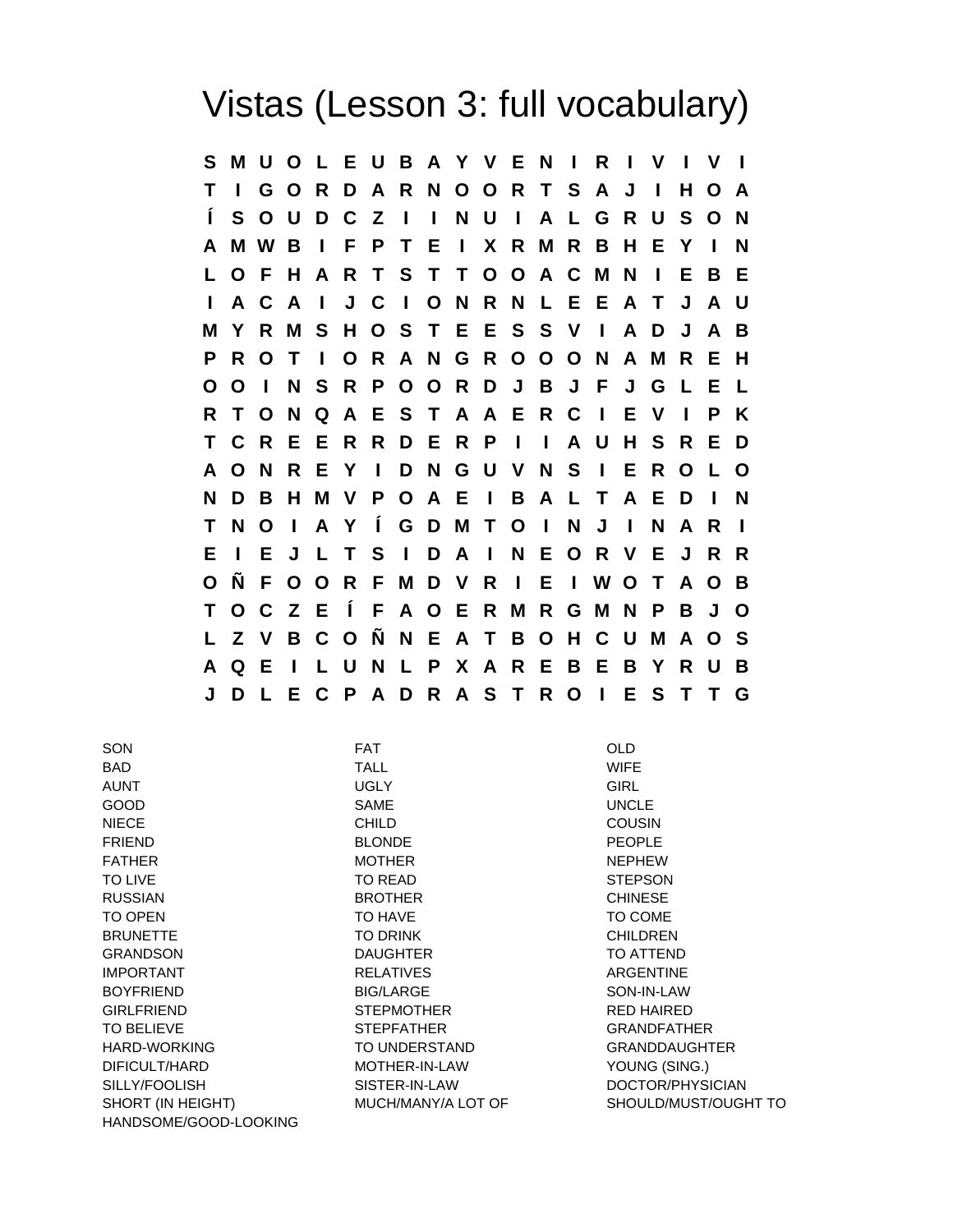## Vistas (Lesson 3: full vocabulary)

**S M U O L E U B A Y V E N I R I V I V I T I G O R D A R N O O R T S A J I H O A Í S O U D C Z I I N U I A L G R U S O N A M W B I F P T E I X R M R B H E Y I N L O F H A R T S T T O O A C M N I E B E I A C A I J C I O N R N L E E A T J A U M Y R M S H O S T E E S S V I A D J A B P R O T I O R A N G R O O O N A M R E H O O I N S R P O O R D J B J F J G L E L R T O N Q A E S T A A E R C I E V I P K T C R E E R R D E R P I I A U H S R E D A O N R E Y I D N G U V N S I E R O L O N D B H M V P O A E I B A L T A E D I N T N O I A Y Í G D M T O I N J I N A R I E I E J L T S I D A I N E O R V E J R R O Ñ F O O R F M D V R I E I W O T A O B T O C Z E Í F A O E R M R G M N P B J O L Z V B C O Ñ N E A T B O H C U M A O S A Q E I L U N L P X A R E B E B Y R U B J D L E C P A D R A S T R O I E S T T G**

| SON                   | <b>FAT</b>         | OLD                  |
|-----------------------|--------------------|----------------------|
| <b>BAD</b>            | <b>TALL</b>        | <b>WIFE</b>          |
| <b>AUNT</b>           | <b>UGLY</b>        | <b>GIRL</b>          |
| <b>GOOD</b>           | <b>SAME</b>        | <b>UNCLE</b>         |
| <b>NIECE</b>          | <b>CHILD</b>       | <b>COUSIN</b>        |
| <b>FRIEND</b>         | <b>BLONDE</b>      | <b>PEOPLE</b>        |
| <b>FATHER</b>         | <b>MOTHER</b>      | <b>NEPHEW</b>        |
| <b>TO LIVE</b>        | TO READ            | <b>STEPSON</b>       |
| <b>RUSSIAN</b>        | <b>BROTHER</b>     | <b>CHINESE</b>       |
| <b>TO OPEN</b>        | TO HAVE            | TO COME              |
| <b>BRUNETTE</b>       | <b>TO DRINK</b>    | <b>CHILDREN</b>      |
| <b>GRANDSON</b>       | <b>DAUGHTER</b>    | <b>TO ATTEND</b>     |
| <b>IMPORTANT</b>      | <b>RELATIVES</b>   | <b>ARGENTINE</b>     |
| <b>BOYFRIEND</b>      | <b>BIG/LARGE</b>   | SON-IN-LAW           |
| <b>GIRLFRIEND</b>     | <b>STEPMOTHER</b>  | <b>RED HAIRED</b>    |
| <b>TO BELIEVE</b>     | <b>STEPFATHER</b>  | <b>GRANDFATHER</b>   |
| <b>HARD-WORKING</b>   | TO UNDERSTAND      | <b>GRANDDAUGHTER</b> |
| DIFICULT/HARD         | MOTHER-IN-LAW      | YOUNG (SING.)        |
| SILLY/FOOLISH         | SISTER-IN-LAW      | DOCTOR/PHYSICIAN     |
| SHORT (IN HEIGHT)     | MUCH/MANY/A LOT OF | SHOULD/MUST/OUGHT TO |
| HANDSOME/GOOD-LOOKING |                    |                      |